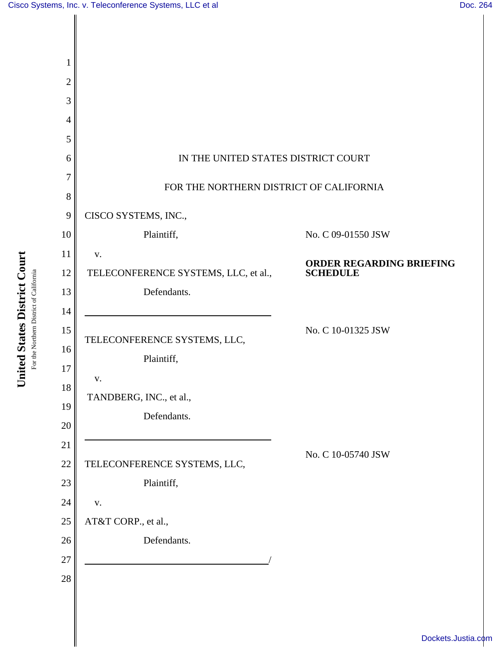